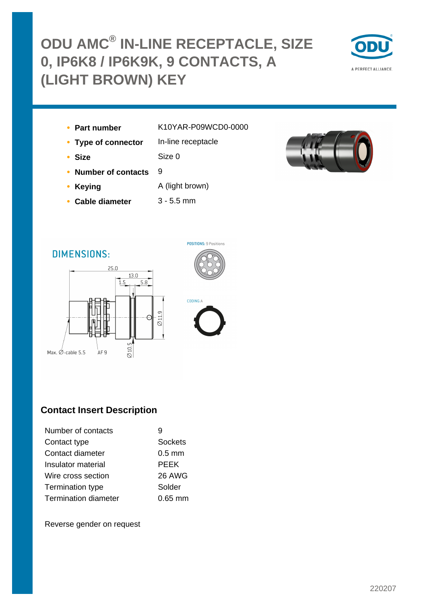# **ODU AMC® IN-LINE RECEPTACLE, SIZE 0, IP6K8 / IP6K9K, 9 CONTACTS, A (LIGHT BROWN) KEY**



- 
- **Part number** K10YAR-P09WCD0-0000
- **Type of connector** In-line receptacle

**• Size** Size 0

- **Number of contacts** 9
- **Keying A** (light brown)
- **Cable diameter** 3 5.5 mm



### **DIMENSIONS:**





CODING:A

### **Contact Insert Description**

| Number of contacts          |                |
|-----------------------------|----------------|
| Contact type                | <b>Sockets</b> |
| Contact diameter            | $0.5$ mm       |
| Insulator material          | <b>PEEK</b>    |
| Wire cross section          | 26 AWG         |
| Termination type            | Solder         |
| <b>Termination diameter</b> | $0.65$ mm      |

Reverse gender on request